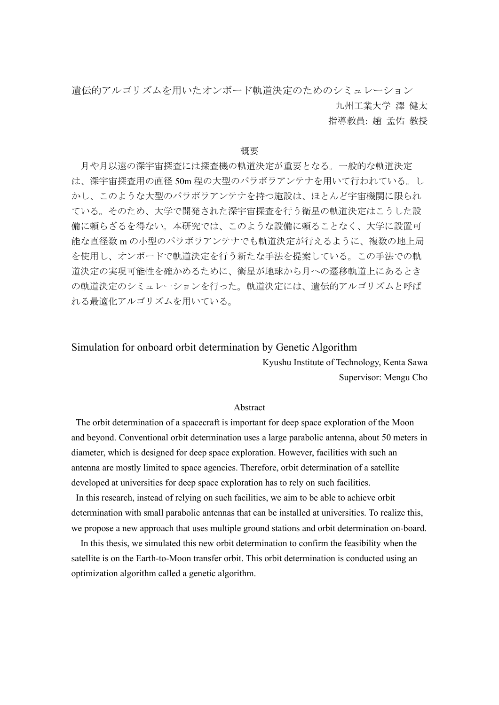遺伝的アルゴリズムを用いたオンボード軌道決定のためのシミュレーション 九州工業大学 澤 健太

指導教員: 趙 孟佑 教授

## 概要

月や月以遠の深宇宙探査には探査機の軌道決定が重要となる。一般的な軌道決定 は、深宇宙探査用の直径 50m 程の大型のパラボラアンテナを用いて行われている。し かし、このような大型のパラボラアンテナを持つ施設は、ほとんど宇宙機関に限られ ている。そのため、大学で開発された深宇宙探査を行う衛星の軌道決定はこうした設 備に頼らざるを得ない。本研究では、このような設備に頼ることなく、大学に設置可 能な直径数 m の小型のパラボラアンテナでも軌道決定が行えるように、複数の地上局 を使用し、オンボードで軌道決定を行う新たな手法を提案している。この手法での軌 道決定の実現可能性を確かめるために、衛星が地球から月への遷移軌道上にあるとき の軌道決定のシミュレーションを行った。軌道決定には、遺伝的アルゴリズムと呼ば れる最適化アルゴリズムを用いている。

## Simulation for onboard orbit determination by Genetic Algorithm

Kyushu Institute of Technology, Kenta Sawa Supervisor: Mengu Cho

## Abstract

The orbit determination of a spacecraft is important for deep space exploration of the Moon and beyond. Conventional orbit determination uses a large parabolic antenna, about 50 meters in diameter, which is designed for deep space exploration. However, facilities with such an antenna are mostly limited to space agencies. Therefore, orbit determination of a satellite developed at universities for deep space exploration has to rely on such facilities.

In this research, instead of relying on such facilities, we aim to be able to achieve orbit determination with small parabolic antennas that can be installed at universities. To realize this, we propose a new approach that uses multiple ground stations and orbit determination on-board.

In this thesis, we simulated this new orbit determination to confirm the feasibility when the satellite is on the Earth-to-Moon transfer orbit. This orbit determination is conducted using an optimization algorithm called a genetic algorithm.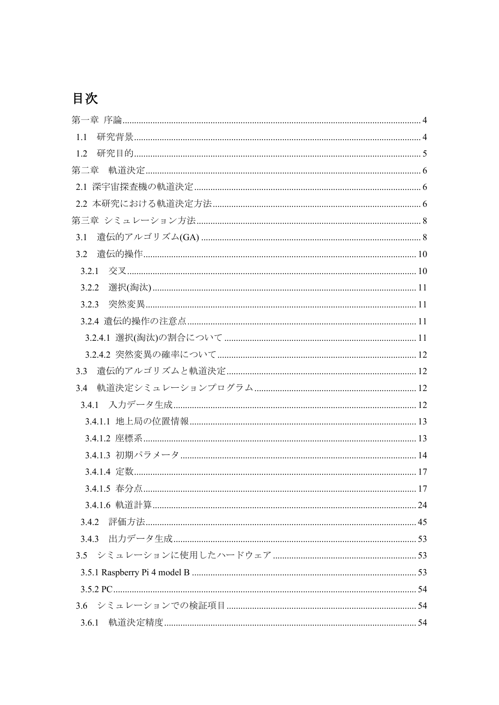## 目次

| 1.1   |  |
|-------|--|
| 1.2   |  |
|       |  |
|       |  |
|       |  |
|       |  |
| 3.1   |  |
| 3.2   |  |
| 3.2.1 |  |
| 3.2.2 |  |
| 3.2.3 |  |
|       |  |
|       |  |
|       |  |
| 3.3   |  |
| 3.4   |  |
|       |  |
|       |  |
|       |  |
|       |  |
|       |  |
|       |  |
|       |  |
|       |  |
|       |  |
|       |  |
|       |  |
|       |  |
|       |  |
|       |  |